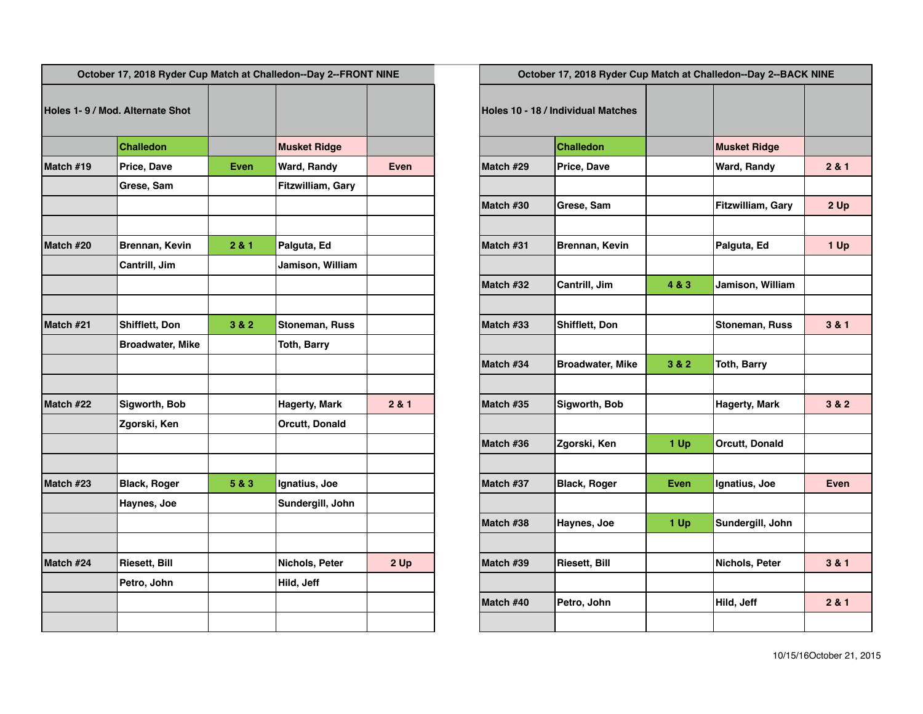| October 17, 2018 Ryder Cup Match at Challedon--Day 2--FRONT NINE |                                 | October 17, 2018 Ryder Cup Match at Challedon--Day 2--BACK NINE |                       |             |           |                                    |       |                       |             |
|------------------------------------------------------------------|---------------------------------|-----------------------------------------------------------------|-----------------------|-------------|-----------|------------------------------------|-------|-----------------------|-------------|
|                                                                  | Holes 1-9 / Mod. Alternate Shot |                                                                 |                       |             |           | Holes 10 - 18 / Individual Matches |       |                       |             |
|                                                                  | <b>Challedon</b>                |                                                                 | <b>Musket Ridge</b>   |             |           | <b>Challedon</b>                   |       | <b>Musket Ridge</b>   |             |
| Match #19                                                        | Price, Dave                     | <b>Even</b>                                                     | Ward, Randy           | <b>Even</b> | Match #29 | Price, Dave                        |       | <b>Ward, Randy</b>    | 2 & 1       |
|                                                                  | Grese, Sam                      |                                                                 | Fitzwilliam, Gary     |             |           |                                    |       |                       |             |
|                                                                  |                                 |                                                                 |                       |             | Match #30 | Grese, Sam                         |       | Fitzwilliam, Gary     | 2 Up        |
| Match #20                                                        | Brennan, Kevin                  | 2 & 1                                                           | Palguta, Ed           |             | Match #31 | Brennan, Kevin                     |       | Palguta, Ed           | 1 Up        |
|                                                                  | Cantrill, Jim                   |                                                                 | Jamison, William      |             |           |                                    |       |                       |             |
|                                                                  |                                 |                                                                 |                       |             | Match #32 | Cantrill, Jim                      | 4 & 3 | Jamison, William      |             |
| Match #21                                                        | <b>Shifflett, Don</b>           | 3 & 2                                                           | <b>Stoneman, Russ</b> |             | Match #33 | Shifflett, Don                     |       | Stoneman, Russ        | 3 & 1       |
|                                                                  | <b>Broadwater, Mike</b>         |                                                                 | <b>Toth, Barry</b>    |             |           |                                    |       |                       |             |
|                                                                  |                                 |                                                                 |                       |             | Match #34 | <b>Broadwater, Mike</b>            | 3 & 2 | <b>Toth, Barry</b>    |             |
| Match #22                                                        | Sigworth, Bob                   |                                                                 | Hagerty, Mark         | 2 & 1       | Match #35 | Sigworth, Bob                      |       | Hagerty, Mark         | 3 & 2       |
|                                                                  | Zgorski, Ken                    |                                                                 | <b>Orcutt, Donald</b> |             |           |                                    |       |                       |             |
|                                                                  |                                 |                                                                 |                       |             | Match #36 | Zgorski, Ken                       | 1 Up  | <b>Orcutt, Donald</b> |             |
| Match #23                                                        | <b>Black, Roger</b>             | 5 & 3                                                           | Ignatius, Joe         |             | Match #37 | <b>Black, Roger</b>                | Even  | Ignatius, Joe         | <b>Even</b> |
|                                                                  | Haynes, Joe                     |                                                                 | Sundergill, John      |             |           |                                    |       |                       |             |
|                                                                  |                                 |                                                                 |                       |             | Match #38 | Haynes, Joe                        | 1 Up  | Sundergill, John      |             |
| Match #24                                                        | Riesett, Bill                   |                                                                 | Nichols, Peter        | 2 Up        | Match #39 | <b>Riesett, Bill</b>               |       | Nichols, Peter        | 3 & 1       |
|                                                                  | Petro, John                     |                                                                 | Hild, Jeff            |             |           |                                    |       |                       |             |
|                                                                  |                                 |                                                                 |                       |             | Match #40 | Petro, John                        |       | Hild, Jeff            | 2 & 1       |
|                                                                  |                                 |                                                                 |                       |             |           |                                    |       |                       |             |

| October 17, 2018 Ryder Cup Match at Challedon--Day 2--BACK NINE |                         |             |                          |       |  |  |  |
|-----------------------------------------------------------------|-------------------------|-------------|--------------------------|-------|--|--|--|
| Holes 10 - 18 / Individual Matches                              |                         |             |                          |       |  |  |  |
|                                                                 | <b>Challedon</b>        |             | <b>Musket Ridge</b>      |       |  |  |  |
| Match #29                                                       | Price, Dave             |             | Ward, Randy              | 2 & 1 |  |  |  |
| Match #30                                                       | Grese, Sam              |             | <b>Fitzwilliam, Gary</b> | 2Up   |  |  |  |
| Match #31                                                       | Brennan, Kevin          |             | Palguta, Ed              | 1 Up  |  |  |  |
| Match #32                                                       | Cantrill, Jim           | 4 & 3       | Jamison, William         |       |  |  |  |
| Match #33                                                       | <b>Shifflett, Don</b>   |             | <b>Stoneman, Russ</b>    | 3 & 1 |  |  |  |
| Match #34                                                       | <b>Broadwater, Mike</b> | 3 & 2       | <b>Toth, Barry</b>       |       |  |  |  |
| Match #35                                                       | Sigworth, Bob           |             | <b>Hagerty, Mark</b>     | 3 & 2 |  |  |  |
| Match #36                                                       | Zgorski, Ken            | 1 Up        | Orcutt, Donald           |       |  |  |  |
| Match #37                                                       | <b>Black, Roger</b>     | <b>Even</b> | Ignatius, Joe            | Even  |  |  |  |
| Match #38                                                       | Haynes, Joe             | 1 Up        | Sundergill, John         |       |  |  |  |
| Match #39                                                       | <b>Riesett, Bill</b>    |             | Nichols, Peter           | 3 & 1 |  |  |  |
| Match #40                                                       | Petro, John             |             | Hild, Jeff               | 2 & 1 |  |  |  |
|                                                                 |                         |             |                          |       |  |  |  |